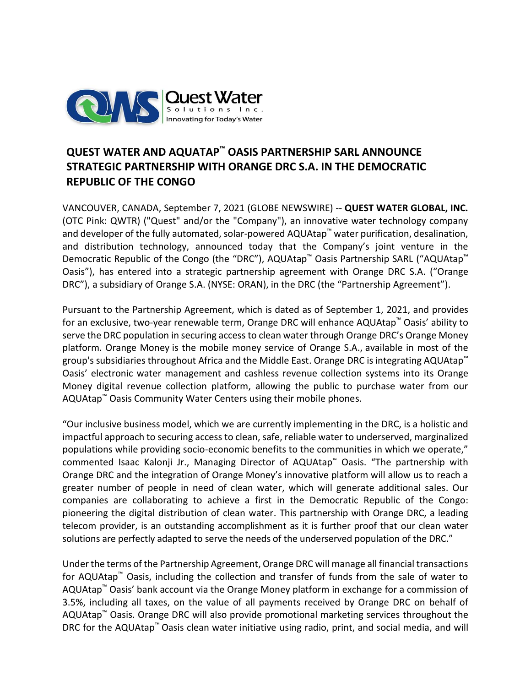

# **QUEST WATER AND AQUATAP™ OASIS PARTNERSHIP SARL ANNOUNCE STRATEGIC PARTNERSHIP WITH ORANGE DRC S.A. IN THE DEMOCRATIC REPUBLIC OF THE CONGO**

VANCOUVER, CANADA, September 7, 2021 (GLOBE NEWSWIRE) -- **QUEST WATER GLOBAL, INC.**  (OTC Pink: QWTR) ("Quest" and/or the "Company"), an innovative water technology company and developer of the fully automated, solar-powered AQUAtap™ water purification, desalination, and distribution technology, announced today that the Company's joint venture in the Democratic Republic of the Congo (the "DRC"), AQUAtap™ Oasis Partnership SARL ("AQUAtap™ Oasis"), has entered into a strategic partnership agreement with Orange DRC S.A. ("Orange DRC"), a subsidiary of Orange S.A. (NYSE: ORAN), in the DRC (the "Partnership Agreement").

Pursuant to the Partnership Agreement, which is dated as of September 1, 2021, and provides for an exclusive, two-year renewable term, Orange DRC will enhance AQUAtap™ Oasis' ability to serve the DRC population in securing access to clean water through Orange DRC's Orange Money platform. Orange Money is the mobile money service of Orange S.A., available in most of the group's subsidiaries throughout Africa and the Middle East. Orange DRC is integrating AQUAtap<sup>™</sup> Oasis' electronic water management and cashless revenue collection systems into its Orange Money digital revenue collection platform, allowing the public to purchase water from our AQUAtap™ Oasis Community Water Centers using their mobile phones.

"Our inclusive business model, which we are currently implementing in the DRC, is a holistic and impactful approach to securing access to clean, safe, reliable water to underserved, marginalized populations while providing socio-economic benefits to the communities in which we operate," commented Isaac Kalonji Jr., Managing Director of AQUAtap™ Oasis. "The partnership with Orange DRC and the integration of Orange Money's innovative platform will allow us to reach a greater number of people in need of clean water, which will generate additional sales. Our companies are collaborating to achieve a first in the Democratic Republic of the Congo: pioneering the digital distribution of clean water. This partnership with Orange DRC, a leading telecom provider, is an outstanding accomplishment as it is further proof that our clean water solutions are perfectly adapted to serve the needs of the underserved population of the DRC."

Under the terms of the Partnership Agreement, Orange DRC will manage all financial transactions for AQUAtap™ Oasis, including the collection and transfer of funds from the sale of water to AQUAtap™ Oasis' bank account via the Orange Money platform in exchange for a commission of 3.5%, including all taxes, on the value of all payments received by Orange DRC on behalf of AQUAtap™ Oasis. Orange DRC will also provide promotional marketing services throughout the DRC for the AQUAtap<sup>™</sup> Oasis clean water initiative using radio, print, and social media, and will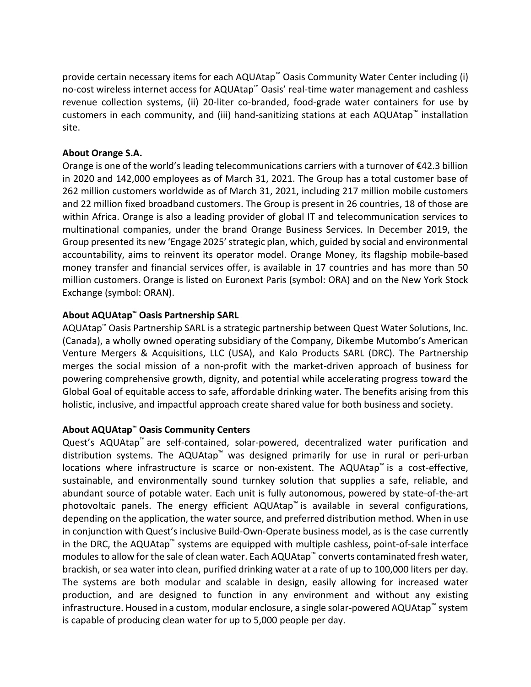provide certain necessary items for each AQUAtap™ Oasis Community Water Center including (i) no-cost wireless internet access for AQUAtap™ Oasis' real-time water management and cashless revenue collection systems, (ii) 20-liter co-branded, food-grade water containers for use by customers in each community, and (iii) hand-sanitizing stations at each AQUAtap™ installation site.

## **About Orange S.A.**

Orange is one of the world's leading telecommunications carriers with a turnover of €42.3 billion in 2020 and 142,000 employees as of March 31, 2021. The Group has a total customer base of 262 million customers worldwide as of March 31, 2021, including 217 million mobile customers and 22 million fixed broadband customers. The Group is present in 26 countries, 18 of those are within Africa. Orange is also a leading provider of global IT and telecommunication services to multinational companies, under the brand Orange Business Services. In December 2019, the Group presented its new 'Engage 2025' strategic plan, which, guided by social and environmental accountability, aims to reinvent its operator model. Orange Money, its flagship mobile-based money transfer and financial services offer, is available in 17 countries and has more than 50 million customers. Orange is listed on Euronext Paris (symbol: ORA) and on the New York Stock Exchange (symbol: ORAN).

## **About AQUAtap™ Oasis Partnership SARL**

AQUAtap™ Oasis Partnership SARL is a strategic partnership between Quest Water Solutions, Inc. (Canada), a wholly owned operating subsidiary of the Company, Dikembe Mutombo's American Venture Mergers & Acquisitions, LLC (USA), and Kalo Products SARL (DRC). The Partnership merges the social mission of a non-profit with the market-driven approach of business for powering comprehensive growth, dignity, and potential while accelerating progress toward the Global Goal of equitable access to safe, affordable drinking water. The benefits arising from this holistic, inclusive, and impactful approach create shared value for both business and society.

### **About AQUAtap™ Oasis Community Centers**

Quest's AQUAtap™ are self-contained, solar-powered, decentralized water purification and distribution systems. The AQUAtap™ was designed primarily for use in rural or peri-urban locations where infrastructure is scarce or non-existent. The AQUAtap™ is a cost-effective, sustainable, and environmentally sound turnkey solution that supplies a safe, reliable, and abundant source of potable water. Each unit is fully autonomous, powered by state-of-the-art photovoltaic panels. The energy efficient AQUAtap<sup>™</sup> is available in several configurations, depending on the application, the water source, and preferred distribution method. When in use in conjunction with Quest's inclusive Build-Own-Operate business model, as is the case currently in the DRC, the AQUAtap™ systems are equipped with multiple cashless, point-of-sale interface modules to allow for the sale of clean water. Each AQUAtap™ converts contaminated fresh water, brackish, or sea water into clean, purified drinking water at a rate of up to 100,000 liters per day. The systems are both modular and scalable in design, easily allowing for increased water production, and are designed to function in any environment and without any existing infrastructure. Housed in a custom, modular enclosure, a single solar-powered AQUAtap™ system is capable of producing clean water for up to 5,000 people per day.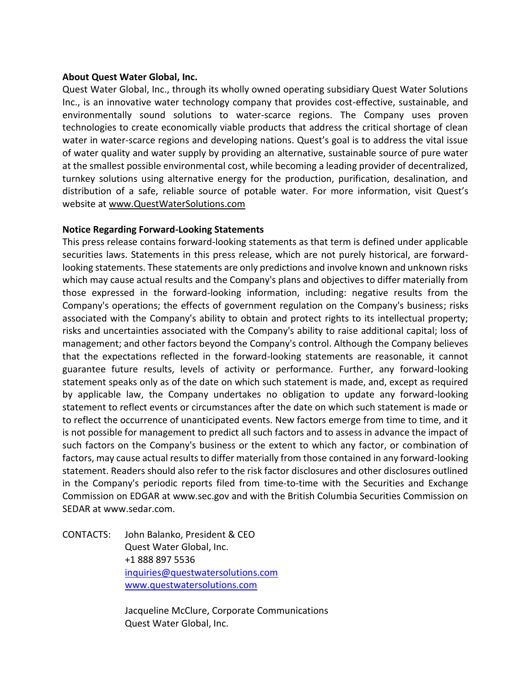### **About Quest Water Global, Inc.**

Quest Water Global, Inc., through its wholly owned operating subsidiary Quest Water Solutions Inc., is an innovative water technology company that provides cost-effective, sustainable, and environmentally sound solutions to water-scarce regions. The Company uses proven technologies to create economically viable products that address the critical shortage of clean water in water-scarce regions and developing nations. Quest's goal is to address the vital issue of water quality and water supply by providing an alternative, sustainable source of pure water at the smallest possible environmental cost, while becoming a leading provider of decentralized, turnkey solutions using alternative energy for the production, purification, desalination, and distribution of a safe, reliable source of potable water. For more information, visit Quest's website at [www.QuestWaterSolutions.com](http://www.questwatersolutions.com/)

#### **Notice Regarding Forward-Looking Statements**

This press release contains forward-looking statements as that term is defined under applicable securities laws. Statements in this press release, which are not purely historical, are forwardlooking statements. These statements are only predictions and involve known and unknown risks which may cause actual results and the Company's plans and objectives to differ materially from those expressed in the forward-looking information, including: negative results from the Company's operations; the effects of government regulation on the Company's business; risks associated with the Company's ability to obtain and protect rights to its intellectual property; risks and uncertainties associated with the Company's ability to raise additional capital; loss of management; and other factors beyond the Company's control. Although the Company believes that the expectations reflected in the forward-looking statements are reasonable, it cannot guarantee future results, levels of activity or performance. Further, any forward-looking statement speaks only as of the date on which such statement is made, and, except as required by applicable law, the Company undertakes no obligation to update any forward-looking statement to reflect events or circumstances after the date on which such statement is made or to reflect the occurrence of unanticipated events. New factors emerge from time to time, and it is not possible for management to predict all such factors and to assess in advance the impact of such factors on the Company's business or the extent to which any factor, or combination of factors, may cause actual results to differ materially from those contained in any forward-looking statement. Readers should also refer to the risk factor disclosures and other disclosures outlined in the Company's periodic reports filed from time-to-time with the Securities and Exchange Commission on EDGAR at www.sec.gov and with the British Columbia Securities Commission on SEDAR at www.sedar.com.

CONTACTS: John Balanko, President & CEO Quest Water Global, Inc. +1 888 897 5536 [inquiries@questwatersolutions.com](mailto:inquiries@questwatersolutions.com) [www.questwatersolutions.com](http://www.questwatersolutions.com/)

> Jacqueline McClure, Corporate Communications Quest Water Global, Inc.